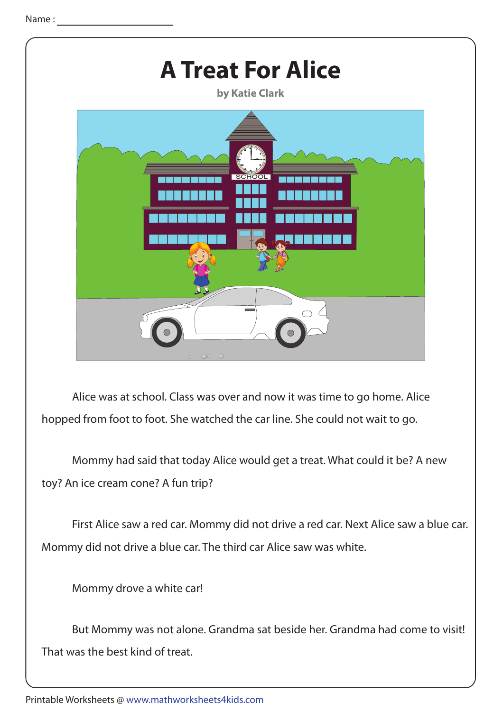

 Alice was at school. Class was over and now it was time to go home. Alice hopped from foot to foot. She watched the car line. She could not wait to go.

 Mommy had said that today Alice would get a treat. What could it be? A new toy? An ice cream cone? A fun trip?

 First Alice saw a red car. Mommy did not drive a red car. Next Alice saw a blue car. Mommy did not drive a blue car. The third car Alice saw was white.

Mommy drove a white car!

 But Mommy was not alone. Grandma sat beside her. Grandma had come to visit! That was the best kind of treat.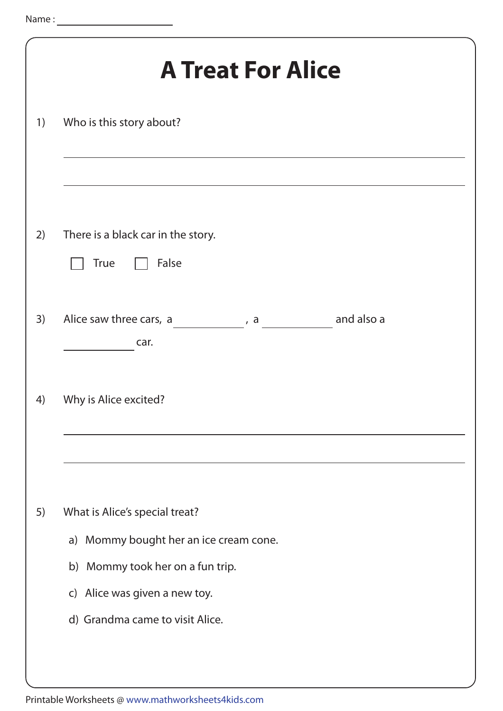|    | <b>A Treat For Alice</b>                                                 |
|----|--------------------------------------------------------------------------|
| 1) | Who is this story about?                                                 |
| 2) | There is a black car in the story.<br>False<br><b>True</b>               |
| 3) | and also a<br>Alice saw three cars, a ________, a __________<br>car.     |
| 4) | Why is Alice excited?                                                    |
|    |                                                                          |
| 5) | What is Alice's special treat?<br>a) Mommy bought her an ice cream cone. |
|    | b) Mommy took her on a fun trip.                                         |
|    | c) Alice was given a new toy.                                            |
|    | d) Grandma came to visit Alice.                                          |
|    |                                                                          |